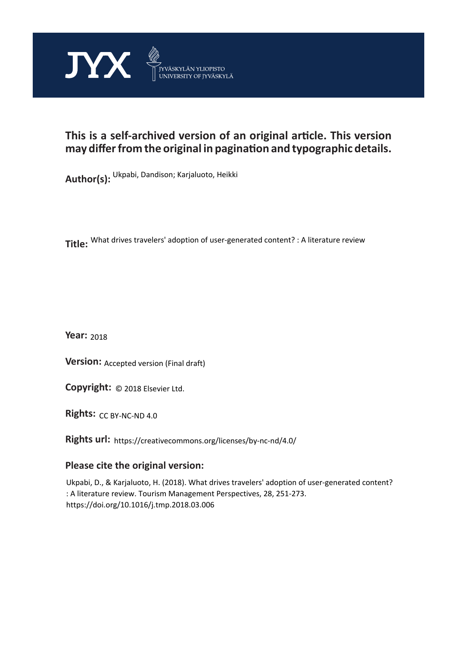

# **This is a self-archived version of an original article. This version may differ from the original in pagination and typographic details.**

**Author(s):**  Ukpabi, Dandison; Karjaluoto, Heikki

**Title:**  What drives travelers' adoption of user-generated content? : A literature review

**Year:**  2018

**Version: Accepted version (Final draft)** 

**Version:** Accepted version (Final draft)<br>**Copyright:** © 2018 Elsevier Ltd.

**Rights:** CC BY-NC-ND 4.0

**Rights url:**  https://creativecommons.org/licenses/by-nc-nd/4.0/

# **Please cite the original version:**

Ukpabi, D., & Karjaluoto, H. (2018). What drives travelers' adoption of user-generated content? : A literature review. Tourism Management Perspectives, 28, 251-273. https://doi.org/10.1016/j.tmp.2018.03.006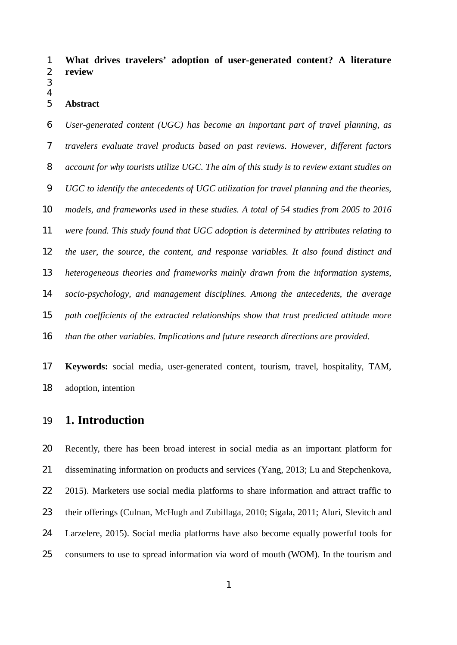**What drives travelers' adoption of user-generated content? A literature review**

#### 

#### **Abstract**

 *User-generated content (UGC) has become an important part of travel planning, as travelers evaluate travel products based on past reviews. However, different factors account for why tourists utilize UGC. The aim of this study is to review extant studies on UGC to identify the antecedents of UGC utilization for travel planning and the theories, models, and frameworks used in these studies. A total of 54 studies from 2005 to 2016 were found. This study found that UGC adoption is determined by attributes relating to the user, the source, the content, and response variables. It also found distinct and heterogeneous theories and frameworks mainly drawn from the information systems, socio-psychology, and management disciplines. Among the antecedents, the average path coefficients of the extracted relationships show that trust predicted attitude more than the other variables. Implications and future research directions are provided.*

 **Keywords:** social media, user-generated content, tourism, travel, hospitality, TAM, adoption, intention

# **1. Introduction**

 Recently, there has been broad interest in social media as an important platform for disseminating information on products and services (Yang, 2013; Lu and Stepchenkova, 2015). Marketers use social media platforms to share information and attract traffic to their offerings (Culnan, McHugh and Zubillaga, 2010; Sigala, 2011; Aluri, Slevitch and Larzelere, 2015). Social media platforms have also become equally powerful tools for consumers to use to spread information via word of mouth (WOM). In the tourism and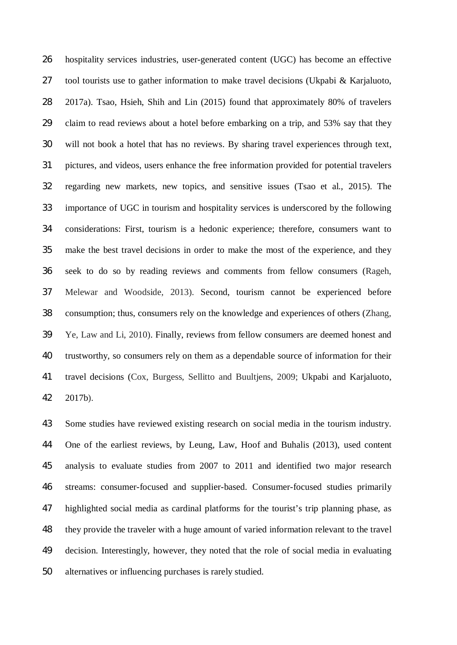hospitality services industries, user-generated content (UGC) has become an effective tool tourists use to gather information to make travel decisions (Ukpabi & Karjaluoto, 2017a). Tsao, Hsieh, Shih and Lin (2015) found that approximately 80% of travelers claim to read reviews about a hotel before embarking on a trip, and 53% say that they will not book a hotel that has no reviews. By sharing travel experiences through text, pictures, and videos, users enhance the free information provided for potential travelers regarding new markets, new topics, and sensitive issues (Tsao et al., 2015). The importance of UGC in tourism and hospitality services is underscored by the following considerations: First, tourism is a hedonic experience; therefore, consumers want to make the best travel decisions in order to make the most of the experience, and they seek to do so by reading reviews and comments from fellow consumers (Rageh, Melewar and Woodside, 2013). Second, tourism cannot be experienced before consumption; thus, consumers rely on the knowledge and experiences of others (Zhang, Ye, Law and Li, 2010). Finally, reviews from fellow consumers are deemed honest and trustworthy, so consumers rely on them as a dependable source of information for their travel decisions (Cox, Burgess, Sellitto and Buultjens, 2009; Ukpabi and Karjaluoto, 2017b).

 Some studies have reviewed existing research on social media in the tourism industry. One of the earliest reviews, by Leung, Law, Hoof and Buhalis (2013), used content analysis to evaluate studies from 2007 to 2011 and identified two major research streams: consumer-focused and supplier-based. Consumer-focused studies primarily highlighted social media as cardinal platforms for the tourist's trip planning phase, as they provide the traveler with a huge amount of varied information relevant to the travel decision. Interestingly, however, they noted that the role of social media in evaluating alternatives or influencing purchases is rarely studied.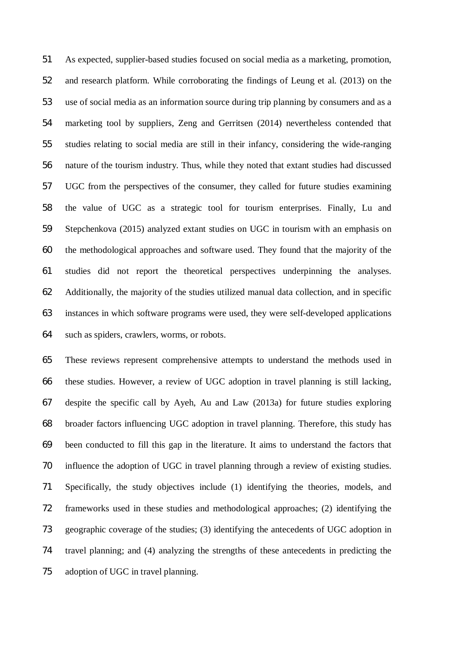As expected, supplier-based studies focused on social media as a marketing, promotion, and research platform. While corroborating the findings of Leung et al. (2013) on the use of social media as an information source during trip planning by consumers and as a marketing tool by suppliers, Zeng and Gerritsen (2014) nevertheless contended that studies relating to social media are still in their infancy, considering the wide-ranging nature of the tourism industry. Thus, while they noted that extant studies had discussed UGC from the perspectives of the consumer, they called for future studies examining the value of UGC as a strategic tool for tourism enterprises. Finally, Lu and Stepchenkova (2015) analyzed extant studies on UGC in tourism with an emphasis on the methodological approaches and software used. They found that the majority of the studies did not report the theoretical perspectives underpinning the analyses. Additionally, the majority of the studies utilized manual data collection, and in specific instances in which software programs were used, they were self-developed applications such as spiders, crawlers, worms, or robots.

 These reviews represent comprehensive attempts to understand the methods used in these studies. However, a review of UGC adoption in travel planning is still lacking, despite the specific call by Ayeh, Au and Law (2013a) for future studies exploring broader factors influencing UGC adoption in travel planning. Therefore, this study has been conducted to fill this gap in the literature. It aims to understand the factors that influence the adoption of UGC in travel planning through a review of existing studies. Specifically, the study objectives include (1) identifying the theories, models, and frameworks used in these studies and methodological approaches; (2) identifying the geographic coverage of the studies; (3) identifying the antecedents of UGC adoption in travel planning; and (4) analyzing the strengths of these antecedents in predicting the adoption of UGC in travel planning.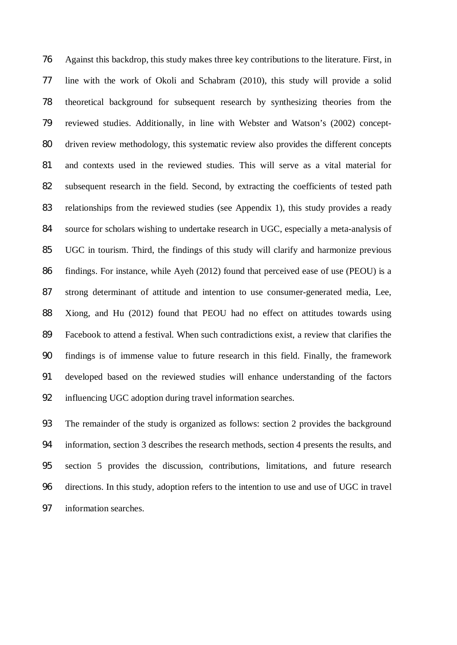Against this backdrop, this study makes three key contributions to the literature. First, in line with the work of Okoli and Schabram (2010), this study will provide a solid theoretical background for subsequent research by synthesizing theories from the reviewed studies. Additionally, in line with Webster and Watson's (2002) concept- driven review methodology, this systematic review also provides the different concepts and contexts used in the reviewed studies. This will serve as a vital material for subsequent research in the field. Second, by extracting the coefficients of tested path relationships from the reviewed studies (see Appendix 1), this study provides a ready source for scholars wishing to undertake research in UGC, especially a meta-analysis of UGC in tourism. Third, the findings of this study will clarify and harmonize previous findings. For instance, while Ayeh (2012) found that perceived ease of use (PEOU) is a strong determinant of attitude and intention to use consumer-generated media, Lee, Xiong, and Hu (2012) found that PEOU had no effect on attitudes towards using Facebook to attend a festival. When such contradictions exist, a review that clarifies the findings is of immense value to future research in this field. Finally, the framework developed based on the reviewed studies will enhance understanding of the factors influencing UGC adoption during travel information searches.

 The remainder of the study is organized as follows: section 2 provides the background information, section 3 describes the research methods, section 4 presents the results, and section 5 provides the discussion, contributions, limitations, and future research directions. In this study, adoption refers to the intention to use and use of UGC in travel information searches.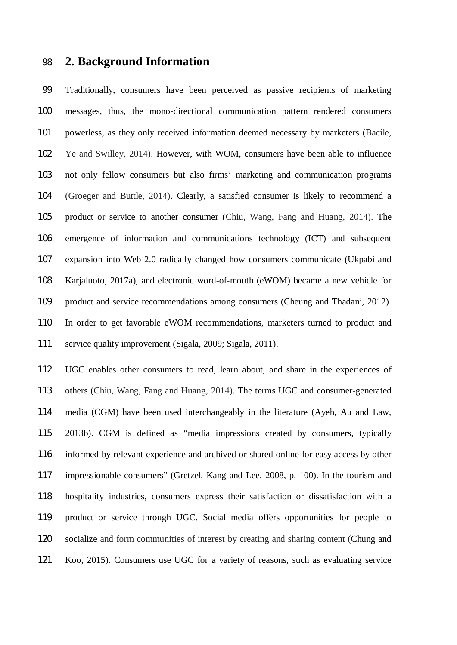# **2. Background Information**

 Traditionally, consumers have been perceived as passive recipients of marketing messages, thus, the mono-directional communication pattern rendered consumers powerless, as they only received information deemed necessary by marketers (Bacile, Ye and Swilley, 2014). However, with WOM, consumers have been able to influence not only fellow consumers but also firms' marketing and communication programs (Groeger and Buttle, 2014). Clearly, a satisfied consumer is likely to recommend a product or service to another consumer (Chiu, Wang, Fang and Huang, 2014). The emergence of information and communications technology (ICT) and subsequent expansion into Web 2.0 radically changed how consumers communicate (Ukpabi and Karjaluoto, 2017a), and electronic word-of-mouth (eWOM) became a new vehicle for product and service recommendations among consumers (Cheung and Thadani, 2012). In order to get favorable eWOM recommendations, marketers turned to product and service quality improvement (Sigala, 2009; Sigala, 2011).

 UGC enables other consumers to read, learn about, and share in the experiences of others (Chiu, Wang, Fang and Huang, 2014). The terms UGC and consumer-generated media (CGM) have been used interchangeably in the literature (Ayeh, Au and Law, 2013b). CGM is defined as "media impressions created by consumers, typically informed by relevant experience and archived or shared online for easy access by other impressionable consumers" (Gretzel, Kang and Lee, 2008, p. 100). In the tourism and hospitality industries, consumers express their satisfaction or dissatisfaction with a product or service through UGC. Social media offers opportunities for people to socialize and form communities of interest by creating and sharing content (Chung and Koo, 2015). Consumers use UGC for a variety of reasons, such as evaluating service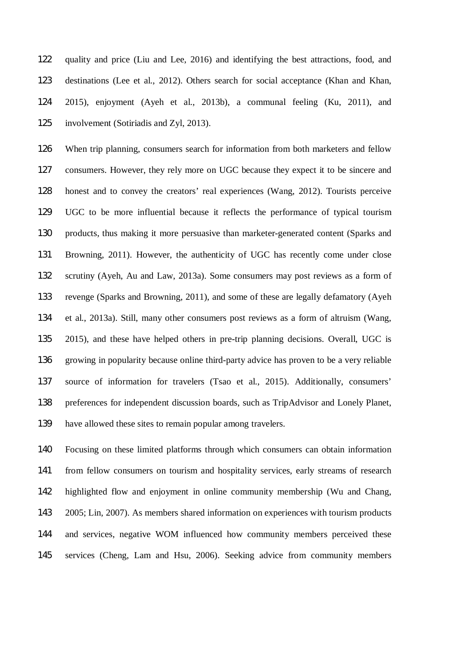quality and price (Liu and Lee, 2016) and identifying the best attractions, food, and destinations (Lee et al., 2012). Others search for social acceptance (Khan and Khan, 2015), enjoyment (Ayeh et al., 2013b), a communal feeling (Ku, 2011), and involvement (Sotiriadis and Zyl, 2013).

 When trip planning, consumers search for information from both marketers and fellow consumers. However, they rely more on UGC because they expect it to be sincere and honest and to convey the creators' real experiences (Wang, 2012). Tourists perceive UGC to be more influential because it reflects the performance of typical tourism products, thus making it more persuasive than marketer-generated content (Sparks and Browning, 2011). However, the authenticity of UGC has recently come under close scrutiny (Ayeh, Au and Law, 2013a). Some consumers may post reviews as a form of revenge (Sparks and Browning, 2011), and some of these are legally defamatory (Ayeh et al., 2013a). Still, many other consumers post reviews as a form of altruism (Wang, 2015), and these have helped others in pre-trip planning decisions. Overall, UGC is growing in popularity because online third-party advice has proven to be a very reliable source of information for travelers (Tsao et al., 2015). Additionally, consumers' preferences for independent discussion boards, such as TripAdvisor and Lonely Planet, have allowed these sites to remain popular among travelers.

 Focusing on these limited platforms through which consumers can obtain information from fellow consumers on tourism and hospitality services, early streams of research highlighted flow and enjoyment in online community membership (Wu and Chang, 2005; Lin, 2007). As members shared information on experiences with tourism products and services, negative WOM influenced how community members perceived these services (Cheng, Lam and Hsu, 2006). Seeking advice from community members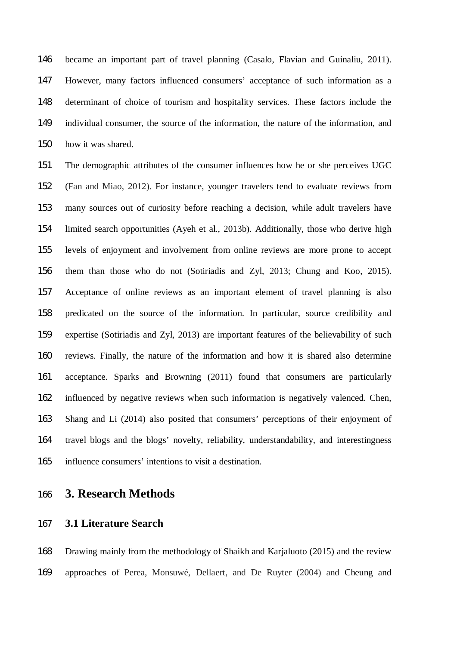became an important part of travel planning (Casalo, Flavian and Guinaliu, 2011). However, many factors influenced consumers' acceptance of such information as a determinant of choice of tourism and hospitality services. These factors include the individual consumer, the source of the information, the nature of the information, and how it was shared.

 The demographic attributes of the consumer influences how he or she perceives UGC (Fan and Miao, 2012). For instance, younger travelers tend to evaluate reviews from many sources out of curiosity before reaching a decision, while adult travelers have limited search opportunities (Ayeh et al., 2013b). Additionally, those who derive high levels of enjoyment and involvement from online reviews are more prone to accept them than those who do not (Sotiriadis and Zyl, 2013; Chung and Koo, 2015). Acceptance of online reviews as an important element of travel planning is also predicated on the source of the information. In particular, source credibility and expertise (Sotiriadis and Zyl, 2013) are important features of the believability of such reviews. Finally, the nature of the information and how it is shared also determine acceptance. Sparks and Browning (2011) found that consumers are particularly influenced by negative reviews when such information is negatively valenced. Chen, Shang and Li (2014) also posited that consumers' perceptions of their enjoyment of travel blogs and the blogs' novelty, reliability, understandability, and interestingness influence consumers' intentions to visit a destination.

# **3. Research Methods**

### **3.1 Literature Search**

 Drawing mainly from the methodology of Shaikh and Karjaluoto (2015) and the review approaches of Perea, Monsuwé, Dellaert, and De Ruyter (2004) and Cheung and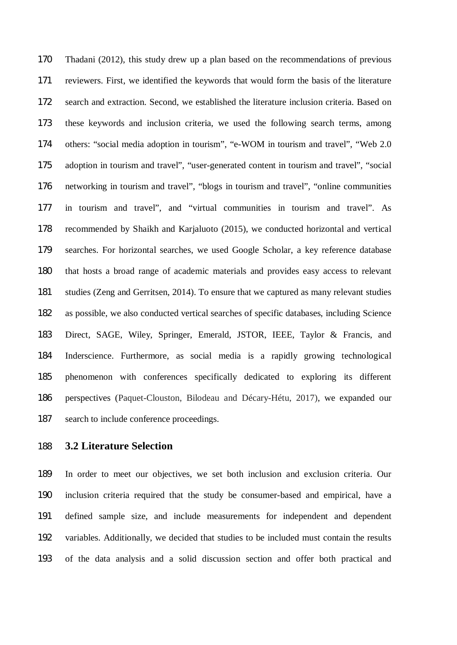Thadani (2012), this study drew up a plan based on the recommendations of previous reviewers. First, we identified the keywords that would form the basis of the literature search and extraction. Second, we established the literature inclusion criteria. Based on these keywords and inclusion criteria, we used the following search terms, among others: "social media adoption in tourism", "e-WOM in tourism and travel", "Web 2.0 adoption in tourism and travel", "user-generated content in tourism and travel", "social networking in tourism and travel", "blogs in tourism and travel", "online communities in tourism and travel", and "virtual communities in tourism and travel". As recommended by Shaikh and Karjaluoto (2015), we conducted horizontal and vertical searches. For horizontal searches, we used Google Scholar, a key reference database that hosts a broad range of academic materials and provides easy access to relevant studies (Zeng and Gerritsen, 2014). To ensure that we captured as many relevant studies as possible, we also conducted vertical searches of specific databases, including Science Direct, SAGE, Wiley, Springer, Emerald, JSTOR, IEEE, Taylor & Francis, and Inderscience. Furthermore, as social media is a rapidly growing technological phenomenon with conferences specifically dedicated to exploring its different perspectives (Paquet-Clouston, Bilodeau and Décary-Hétu, 2017), we expanded our search to include conference proceedings.

# **3.2 Literature Selection**

 In order to meet our objectives, we set both inclusion and exclusion criteria. Our inclusion criteria required that the study be consumer-based and empirical, have a defined sample size, and include measurements for independent and dependent variables. Additionally, we decided that studies to be included must contain the results of the data analysis and a solid discussion section and offer both practical and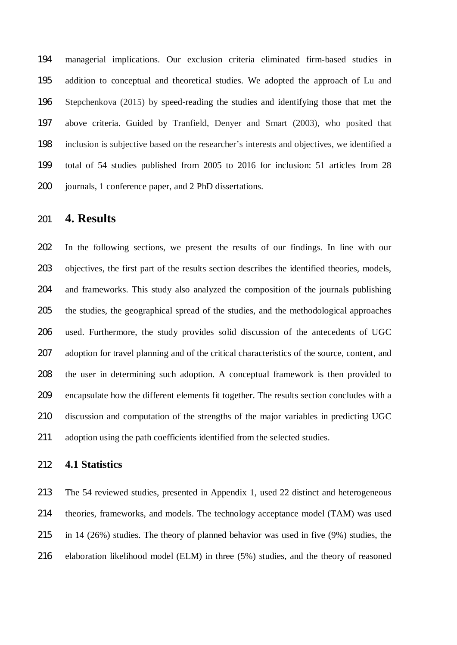managerial implications. Our exclusion criteria eliminated firm-based studies in addition to conceptual and theoretical studies. We adopted the approach of Lu and Stepchenkova (2015) by speed-reading the studies and identifying those that met the above criteria. Guided by Tranfield, Denyer and Smart (2003), who posited that inclusion is subjective based on the researcher's interests and objectives, we identified a total of 54 studies published from 2005 to 2016 for inclusion: 51 articles from 28 journals, 1 conference paper, and 2 PhD dissertations.

# **4. Results**

 In the following sections, we present the results of our findings. In line with our objectives, the first part of the results section describes the identified theories, models, and frameworks. This study also analyzed the composition of the journals publishing the studies, the geographical spread of the studies, and the methodological approaches used. Furthermore, the study provides solid discussion of the antecedents of UGC adoption for travel planning and of the critical characteristics of the source, content, and the user in determining such adoption. A conceptual framework is then provided to encapsulate how the different elements fit together. The results section concludes with a discussion and computation of the strengths of the major variables in predicting UGC adoption using the path coefficients identified from the selected studies.

#### **4.1 Statistics**

 The 54 reviewed studies, presented in Appendix 1, used 22 distinct and heterogeneous theories, frameworks, and models. The technology acceptance model (TAM) was used in 14 (26%) studies. The theory of planned behavior was used in five (9%) studies, the elaboration likelihood model (ELM) in three (5%) studies, and the theory of reasoned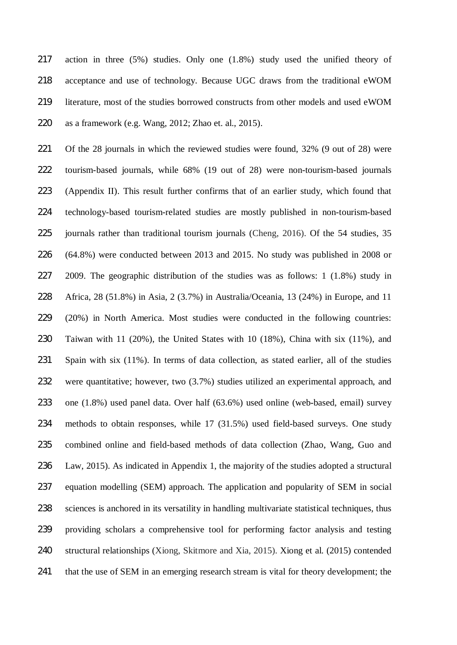action in three (5%) studies. Only one (1.8%) study used the unified theory of acceptance and use of technology. Because UGC draws from the traditional eWOM literature, most of the studies borrowed constructs from other models and used eWOM as a framework (e.g. Wang, 2012; Zhao et. al., 2015).

 Of the 28 journals in which the reviewed studies were found, 32% (9 out of 28) were tourism-based journals, while 68% (19 out of 28) were non-tourism-based journals (Appendix II). This result further confirms that of an earlier study, which found that technology-based tourism-related studies are mostly published in non-tourism-based journals rather than traditional tourism journals (Cheng, 2016). Of the 54 studies, 35 (64.8%) were conducted between 2013 and 2015. No study was published in 2008 or 2009. The geographic distribution of the studies was as follows: 1 (1.8%) study in Africa, 28 (51.8%) in Asia, 2 (3.7%) in Australia/Oceania, 13 (24%) in Europe, and 11 (20%) in North America. Most studies were conducted in the following countries: Taiwan with 11 (20%), the United States with 10 (18%), China with six (11%), and Spain with six (11%). In terms of data collection, as stated earlier, all of the studies were quantitative; however, two (3.7%) studies utilized an experimental approach, and one (1.8%) used panel data. Over half (63.6%) used online (web-based, email) survey methods to obtain responses, while 17 (31.5%) used field-based surveys. One study combined online and field-based methods of data collection (Zhao, Wang, Guo and Law, 2015). As indicated in Appendix 1, the majority of the studies adopted a structural equation modelling (SEM) approach. The application and popularity of SEM in social sciences is anchored in its versatility in handling multivariate statistical techniques, thus providing scholars a comprehensive tool for performing factor analysis and testing structural relationships (Xiong, Skitmore and Xia, 2015). Xiong et al. (2015) contended that the use of SEM in an emerging research stream is vital for theory development; the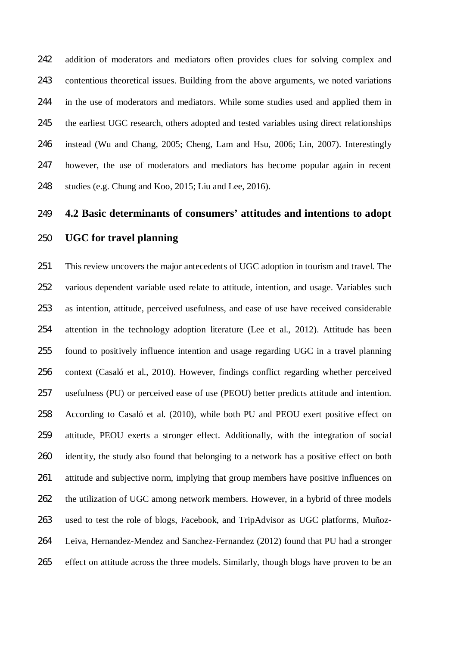addition of moderators and mediators often provides clues for solving complex and contentious theoretical issues. Building from the above arguments, we noted variations in the use of moderators and mediators. While some studies used and applied them in 245 the earliest UGC research, others adopted and tested variables using direct relationships instead (Wu and Chang, 2005; Cheng, Lam and Hsu, 2006; Lin, 2007). Interestingly however, the use of moderators and mediators has become popular again in recent studies (e.g. Chung and Koo, 2015; Liu and Lee, 2016).

# **4.2 Basic determinants of consumers' attitudes and intentions to adopt**

### **UGC for travel planning**

 This review uncovers the major antecedents of UGC adoption in tourism and travel. The various dependent variable used relate to attitude, intention, and usage. Variables such as intention, attitude, perceived usefulness, and ease of use have received considerable attention in the technology adoption literature (Lee et al., 2012). Attitude has been found to positively influence intention and usage regarding UGC in a travel planning context (Casaló et al., 2010). However, findings conflict regarding whether perceived usefulness (PU) or perceived ease of use (PEOU) better predicts attitude and intention. According to Casaló et al. (2010), while both PU and PEOU exert positive effect on attitude, PEOU exerts a stronger effect. Additionally, with the integration of social 260 identity, the study also found that belonging to a network has a positive effect on both attitude and subjective norm, implying that group members have positive influences on the utilization of UGC among network members. However, in a hybrid of three models used to test the role of blogs, Facebook, and TripAdvisor as UGC platforms, Muñoz- Leiva, Hernandez-Mendez and Sanchez-Fernandez (2012) found that PU had a stronger effect on attitude across the three models. Similarly, though blogs have proven to be an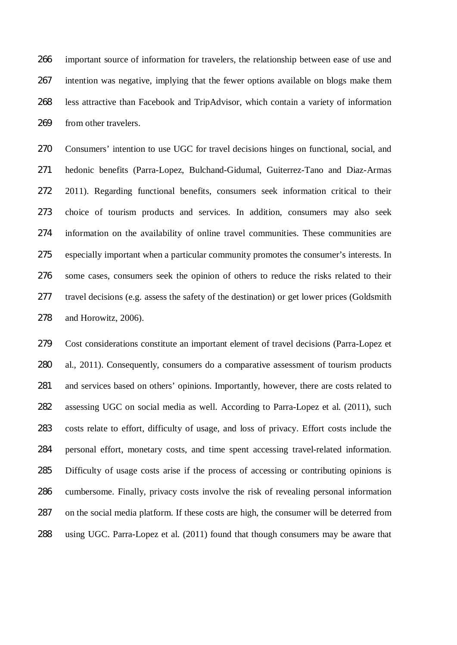important source of information for travelers, the relationship between ease of use and intention was negative, implying that the fewer options available on blogs make them less attractive than Facebook and TripAdvisor, which contain a variety of information from other travelers.

 Consumers' intention to use UGC for travel decisions hinges on functional, social, and hedonic benefits (Parra-Lopez, Bulchand-Gidumal, Guiterrez-Tano and Diaz-Armas 2011). Regarding functional benefits, consumers seek information critical to their choice of tourism products and services. In addition, consumers may also seek information on the availability of online travel communities. These communities are especially important when a particular community promotes the consumer's interests. In some cases, consumers seek the opinion of others to reduce the risks related to their travel decisions (e.g. assess the safety of the destination) or get lower prices (Goldsmith and Horowitz, 2006).

 Cost considerations constitute an important element of travel decisions (Parra-Lopez et al., 2011). Consequently, consumers do a comparative assessment of tourism products and services based on others' opinions. Importantly, however, there are costs related to assessing UGC on social media as well. According to Parra-Lopez et al. (2011), such costs relate to effort, difficulty of usage, and loss of privacy. Effort costs include the personal effort, monetary costs, and time spent accessing travel-related information. Difficulty of usage costs arise if the process of accessing or contributing opinions is cumbersome. Finally, privacy costs involve the risk of revealing personal information on the social media platform. If these costs are high, the consumer will be deterred from using UGC. Parra-Lopez et al. (2011) found that though consumers may be aware that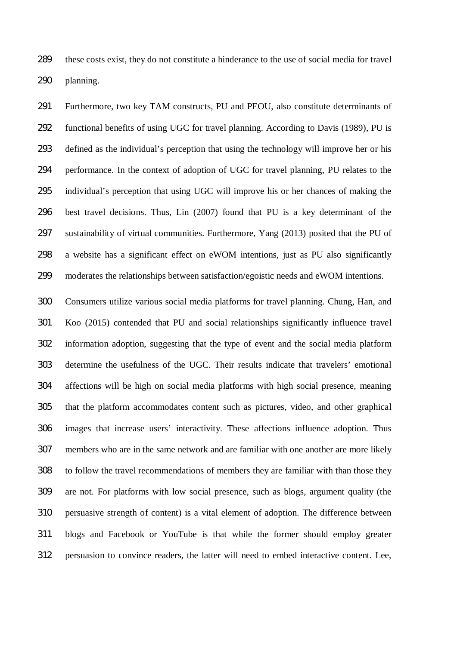these costs exist, they do not constitute a hinderance to the use of social media for travel planning.

 Furthermore, two key TAM constructs, PU and PEOU, also constitute determinants of functional benefits of using UGC for travel planning. According to Davis (1989), PU is defined as the individual's perception that using the technology will improve her or his performance. In the context of adoption of UGC for travel planning, PU relates to the individual's perception that using UGC will improve his or her chances of making the best travel decisions. Thus, Lin (2007) found that PU is a key determinant of the sustainability of virtual communities. Furthermore, Yang (2013) posited that the PU of a website has a significant effect on eWOM intentions, just as PU also significantly moderates the relationships between satisfaction/egoistic needs and eWOM intentions.

 Consumers utilize various social media platforms for travel planning. Chung, Han, and Koo (2015) contended that PU and social relationships significantly influence travel information adoption, suggesting that the type of event and the social media platform determine the usefulness of the UGC. Their results indicate that travelers' emotional affections will be high on social media platforms with high social presence, meaning that the platform accommodates content such as pictures, video, and other graphical images that increase users' interactivity. These affections influence adoption. Thus members who are in the same network and are familiar with one another are more likely to follow the travel recommendations of members they are familiar with than those they are not. For platforms with low social presence, such as blogs, argument quality (the persuasive strength of content) is a vital element of adoption. The difference between blogs and Facebook or YouTube is that while the former should employ greater persuasion to convince readers, the latter will need to embed interactive content. Lee,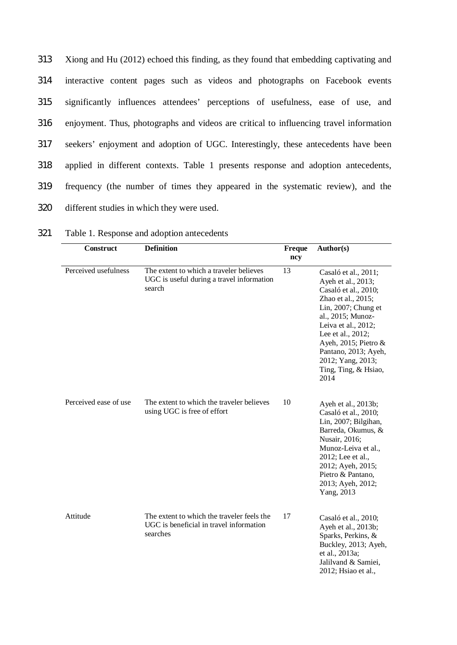Xiong and Hu (2012) echoed this finding, as they found that embedding captivating and interactive content pages such as videos and photographs on Facebook events significantly influences attendees' perceptions of usefulness, ease of use, and enjoyment. Thus, photographs and videos are critical to influencing travel information seekers' enjoyment and adoption of UGC. Interestingly, these antecedents have been applied in different contexts. Table 1 presents response and adoption antecedents, frequency (the number of times they appeared in the systematic review), and the different studies in which they were used.

| 321 |  |  | Table 1. Response and adoption antecedents |  |
|-----|--|--|--------------------------------------------|--|
|-----|--|--|--------------------------------------------|--|

| <b>Construct</b>      | <b>Definition</b>                                                                                 | Freque<br>ncy | Author(s)                                                                                                                                                                                                                                                                                |
|-----------------------|---------------------------------------------------------------------------------------------------|---------------|------------------------------------------------------------------------------------------------------------------------------------------------------------------------------------------------------------------------------------------------------------------------------------------|
| Perceived usefulness  | The extent to which a traveler believes<br>UGC is useful during a travel information<br>search    | 13            | Casaló et al., 2011;<br>Ayeh et al., 2013;<br>Casaló et al., 2010;<br>Zhao et al., 2015;<br>Lin, $2007$ ; Chung et<br>al., 2015; Munoz-<br>Leiva et al., 2012;<br>Lee et al., 2012;<br>Ayeh, 2015; Pietro &<br>Pantano, 2013; Ayeh,<br>2012; Yang, 2013;<br>Ting, Ting, & Hsiao,<br>2014 |
| Perceived ease of use | The extent to which the traveler believes<br>using UGC is free of effort                          | 10            | Ayeh et al., 2013b;<br>Casaló et al., 2010;<br>Lin, 2007; Bilgihan,<br>Barreda, Okumus, &<br>Nusair, 2016;<br>Munoz-Leiva et al.,<br>2012; Lee et al.,<br>2012; Ayeh, 2015;<br>Pietro & Pantano,<br>2013; Ayeh, 2012;<br>Yang, 2013                                                      |
| Attitude              | The extent to which the traveler feels the<br>UGC is beneficial in travel information<br>searches | 17            | Casaló et al., 2010;<br>Ayeh et al., 2013b;<br>Sparks, Perkins, &<br>Buckley, 2013; Ayeh,<br>et al., 2013a;<br>Jalilvand & Samiei,<br>2012; Hsiao et al.,                                                                                                                                |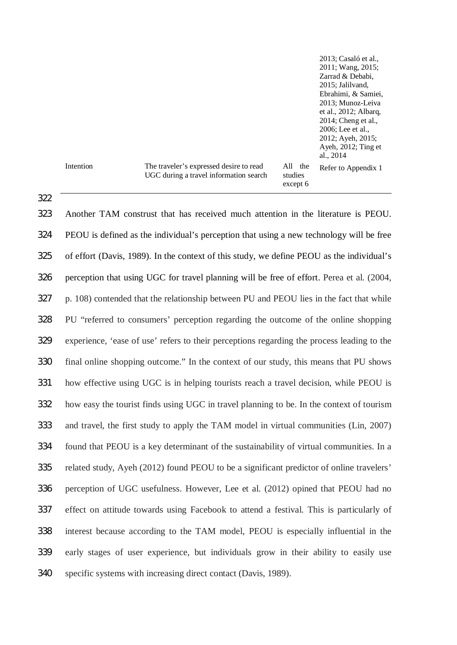|           |                                                                                   |                                | 2013; Casaló et al.,<br>2011; Wang, 2015;<br>Zarrad & Debabi,<br>2015; Jalilyand,<br>Ebrahimi, & Samiei,<br>2013; Munoz-Leiva<br>et al., 2012; Albarq,<br>2014; Cheng et al.,<br>2006; Lee et al.,<br>2012; Ayeh, 2015;<br>Ayeh, 2012; Ting et<br>al., 2014 |
|-----------|-----------------------------------------------------------------------------------|--------------------------------|-------------------------------------------------------------------------------------------------------------------------------------------------------------------------------------------------------------------------------------------------------------|
| Intention | The traveler's expressed desire to read<br>UGC during a travel information search | All the<br>studies<br>except 6 | Refer to Appendix 1                                                                                                                                                                                                                                         |

 Another TAM construst that has received much attention in the literature is PEOU. PEOU is defined as the individual's perception that using a new technology will be free of effort (Davis, 1989). In the context of this study, we define PEOU as the individual's perception that using UGC for travel planning will be free of effort. Perea et al. (2004, p. 108) contended that the relationship between PU and PEOU lies in the fact that while PU "referred to consumers' perception regarding the outcome of the online shopping experience, 'ease of use' refers to their perceptions regarding the process leading to the final online shopping outcome." In the context of our study, this means that PU shows how effective using UGC is in helping tourists reach a travel decision, while PEOU is how easy the tourist finds using UGC in travel planning to be. In the context of tourism and travel, the first study to apply the TAM model in virtual communities (Lin, 2007) found that PEOU is a key determinant of the sustainability of virtual communities. In a related study, Ayeh (2012) found PEOU to be a significant predictor of online travelers' perception of UGC usefulness. However, Lee et al. (2012) opined that PEOU had no effect on attitude towards using Facebook to attend a festival. This is particularly of interest because according to the TAM model, PEOU is especially influential in the early stages of user experience, but individuals grow in their ability to easily use specific systems with increasing direct contact (Davis, 1989).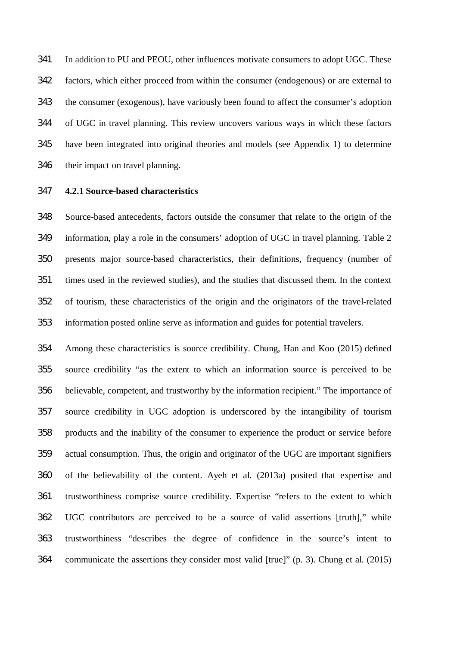In addition to PU and PEOU, other influences motivate consumers to adopt UGC. These factors, which either proceed from within the consumer (endogenous) or are external to the consumer (exogenous), have variously been found to affect the consumer's adoption of UGC in travel planning. This review uncovers various ways in which these factors have been integrated into original theories and models (see Appendix 1) to determine their impact on travel planning.

### **4.2.1 Source-based characteristics**

 Source-based antecedents, factors outside the consumer that relate to the origin of the information, play a role in the consumers' adoption of UGC in travel planning. Table 2 presents major source-based characteristics, their definitions, frequency (number of times used in the reviewed studies), and the studies that discussed them. In the context of tourism, these characteristics of the origin and the originators of the travel-related information posted online serve as information and guides for potential travelers.

 Among these characteristics is source credibility. Chung, Han and Koo (2015) defined source credibility "as the extent to which an information source is perceived to be believable, competent, and trustworthy by the information recipient." The importance of source credibility in UGC adoption is underscored by the intangibility of tourism products and the inability of the consumer to experience the product or service before actual consumption. Thus, the origin and originator of the UGC are important signifiers of the believability of the content. Ayeh et al. (2013a) posited that expertise and trustworthiness comprise source credibility. Expertise "refers to the extent to which UGC contributors are perceived to be a source of valid assertions [truth]," while trustworthiness "describes the degree of confidence in the source's intent to communicate the assertions they consider most valid [true]" (p. 3). Chung et al. (2015)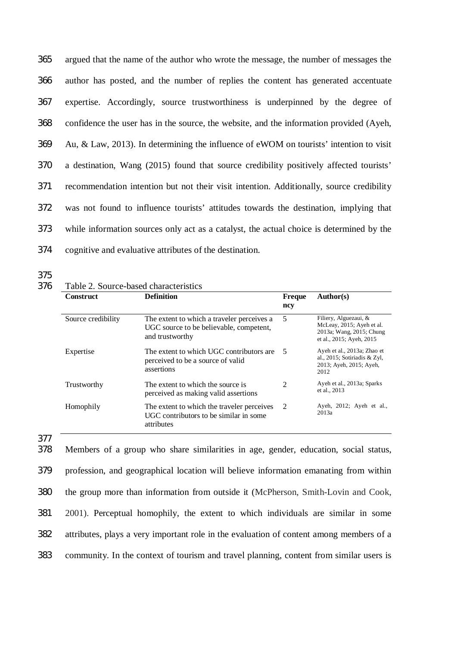argued that the name of the author who wrote the message, the number of messages the author has posted, and the number of replies the content has generated accentuate expertise. Accordingly, source trustworthiness is underpinned by the degree of confidence the user has in the source, the website, and the information provided (Ayeh, Au, & Law, 2013). In determining the influence of eWOM on tourists' intention to visit a destination, Wang (2015) found that source credibility positively affected tourists' recommendation intention but not their visit intention. Additionally, source credibility was not found to influence tourists' attitudes towards the destination, implying that while information sources only act as a catalyst, the actual choice is determined by the cognitive and evaluative attributes of the destination.

375

#### 376 Table 2. Source-based characteristics

| <b>Construct</b>   | <b>Definition</b>                                                                                        | <b>Freque</b><br>ncy        | Author(s)                                                                                                  |
|--------------------|----------------------------------------------------------------------------------------------------------|-----------------------------|------------------------------------------------------------------------------------------------------------|
| Source credibility | The extent to which a traveler perceives a<br>UGC source to be believable, competent,<br>and trustworthy | 5                           | Filiery, Alguezaui, &<br>McLeay, 2015; Ayeh et al.<br>2013a; Wang, 2015; Chung<br>et al., 2015; Ayeh, 2015 |
| Expertise          | The extent to which UGC contributors are<br>perceived to be a source of valid<br>assertions              | -5                          | Ayeh et al., 2013a; Zhao et<br>al., 2015; Sotiriadis & Zyl,<br>2013; Ayeh, 2015; Ayeh,<br>2012             |
| Trustworthy        | The extent to which the source is<br>perceived as making valid assertions                                | $\mathcal{D}_{\mathcal{L}}$ | Ayeh et al., 2013a; Sparks<br>et al., 2013                                                                 |
| Homophily          | The extent to which the traveler perceives<br>UGC contributors to be similar in some<br>attributes       | 2                           | Ayeh, 2012; Ayeh et al.,<br>2013a                                                                          |

377

 Members of a group who share similarities in age, gender, education, social status, profession, and geographical location will believe information emanating from within the group more than information from outside it (McPherson, Smith-Lovin and Cook, 2001). Perceptual homophily, the extent to which individuals are similar in some attributes, plays a very important role in the evaluation of content among members of a community. In the context of tourism and travel planning, content from similar users is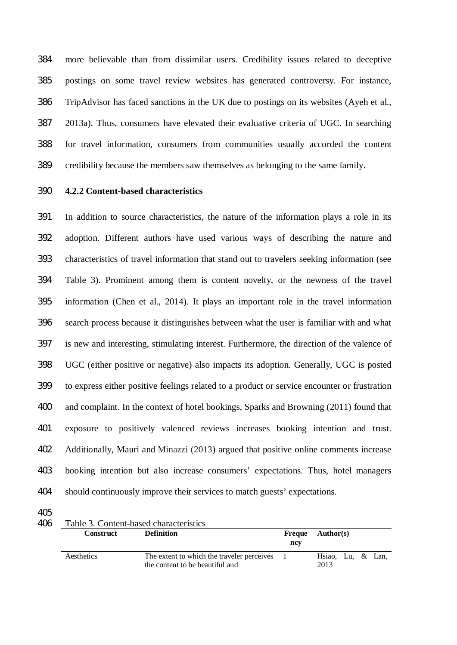more believable than from dissimilar users. Credibility issues related to deceptive postings on some travel review websites has generated controversy. For instance, TripAdvisor has faced sanctions in the UK due to postings on its websites (Ayeh et al., 2013a). Thus, consumers have elevated their evaluative criteria of UGC. In searching for travel information, consumers from communities usually accorded the content credibility because the members saw themselves as belonging to the same family.

### **4.2.2 Content-based characteristics**

 In addition to source characteristics, the nature of the information plays a role in its adoption. Different authors have used various ways of describing the nature and characteristics of travel information that stand out to travelers seeking information (see Table 3). Prominent among them is content novelty, or the newness of the travel information (Chen et al., 2014). It plays an important role in the travel information search process because it distinguishes between what the user is familiar with and what is new and interesting, stimulating interest. Furthermore, the direction of the valence of UGC (either positive or negative) also impacts its adoption. Generally, UGC is posted to express either positive feelings related to a product or service encounter or frustration and complaint. In the context of hotel bookings, Sparks and Browning (2011) found that exposure to positively valenced reviews increases booking intention and trust. Additionally, Mauri and Minazzi (2013) argued that positive online comments increase booking intention but also increase consumers' expectations. Thus, hotel managers should continuously improve their services to match guests' expectations.

| 406 | Table 3. Content-based characteristics |                                                                               |               |                           |  |  |  |
|-----|----------------------------------------|-------------------------------------------------------------------------------|---------------|---------------------------|--|--|--|
|     | <b>Construct</b>                       | <b>Definition</b>                                                             | Freque<br>ncv | <b>Author(s)</b>          |  |  |  |
|     | Aesthetics                             | The extent to which the traveler perceives<br>the content to be beautiful and |               | Hsiao, Lu, & Lan,<br>2013 |  |  |  |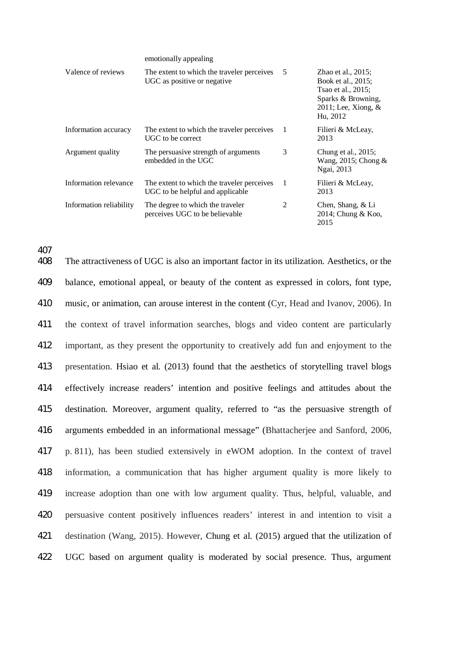emotionally appealing

| Valence of reviews      | The extent to which the traveler perceives<br>UGC as positive or negative      | 5  | Zhao et al., $2015$ ;<br>Book et al., 2015;<br>Tsao et al., 2015;<br>Sparks & Browning,<br>$2011$ ; Lee, Xiong, &<br>Hu, 2012 |
|-------------------------|--------------------------------------------------------------------------------|----|-------------------------------------------------------------------------------------------------------------------------------|
| Information accuracy    | The extent to which the traveler perceives<br>UGC to be correct                | -1 | Filieri & McLeay,<br>2013                                                                                                     |
| Argument quality        | The persuasive strength of arguments<br>embedded in the UGC                    | 3  | Chung et al., 2015;<br>Wang, 2015; Chong &<br>Ngai, 2013                                                                      |
| Information relevance   | The extent to which the traveler perceives<br>UGC to be helpful and applicable | 1  | Filieri & McLeay,<br>2013                                                                                                     |
| Information reliability | The degree to which the traveler<br>perceives UGC to be believable             | 2  | Chen, Shang, & Li<br>2014; Chung & Koo,<br>2015                                                                               |

407

 The attractiveness of UGC is also an important factor in its utilization. Aesthetics, or the balance, emotional appeal, or beauty of the content as expressed in colors, font type, music, or animation, can arouse interest in the content (Cyr, Head and Ivanov, 2006). In the context of travel information searches, blogs and video content are particularly important, as they present the opportunity to creatively add fun and enjoyment to the presentation. Hsiao et al. (2013) found that the aesthetics of storytelling travel blogs effectively increase readers' intention and positive feelings and attitudes about the destination. Moreover, argument quality, referred to "as the persuasive strength of arguments embedded in an informational message" (Bhattacherjee and Sanford, 2006, p. 811), has been studied extensively in eWOM adoption. In the context of travel information, a communication that has higher argument quality is more likely to increase adoption than one with low argument quality. Thus, helpful, valuable, and persuasive content positively influences readers' interest in and intention to visit a destination (Wang, 2015). However, Chung et al. (2015) argued that the utilization of UGC based on argument quality is moderated by social presence. Thus, argument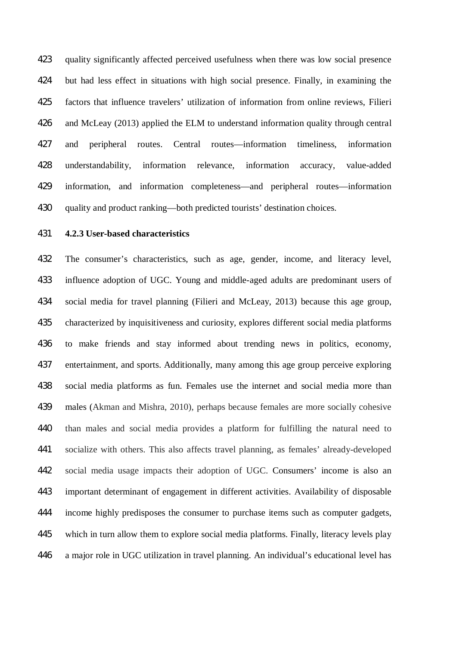quality significantly affected perceived usefulness when there was low social presence but had less effect in situations with high social presence. Finally, in examining the factors that influence travelers' utilization of information from online reviews, Filieri and McLeay (2013) applied the ELM to understand information quality through central and peripheral routes. Central routes—information timeliness, information understandability, information relevance, information accuracy, value-added information, and information completeness—and peripheral routes—information quality and product ranking—both predicted tourists' destination choices.

#### **4.2.3 User-based characteristics**

 The consumer's characteristics, such as age, gender, income, and literacy level, influence adoption of UGC. Young and middle-aged adults are predominant users of social media for travel planning (Filieri and McLeay, 2013) because this age group, characterized by inquisitiveness and curiosity, explores different social media platforms to make friends and stay informed about trending news in politics, economy, entertainment, and sports. Additionally, many among this age group perceive exploring social media platforms as fun. Females use the internet and social media more than males (Akman and Mishra, 2010), perhaps because females are more socially cohesive than males and social media provides a platform for fulfilling the natural need to socialize with others. This also affects travel planning, as females' already-developed social media usage impacts their adoption of UGC. Consumers' income is also an important determinant of engagement in different activities. Availability of disposable income highly predisposes the consumer to purchase items such as computer gadgets, which in turn allow them to explore social media platforms. Finally, literacy levels play a major role in UGC utilization in travel planning. An individual's educational level has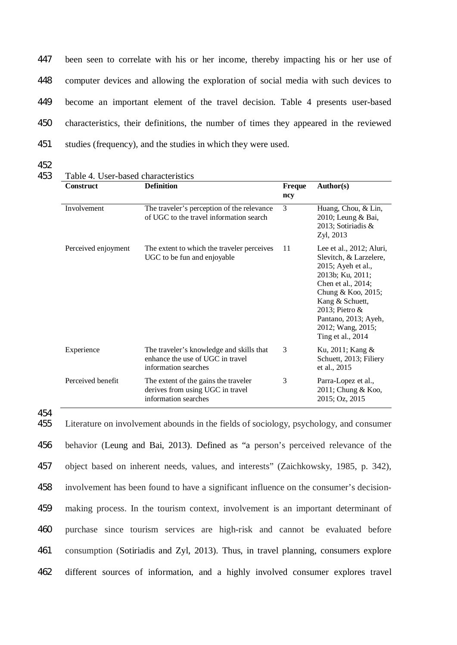been seen to correlate with his or her income, thereby impacting his or her use of computer devices and allowing the exploration of social media with such devices to become an important element of the travel decision. Table 4 presents user-based characteristics, their definitions, the number of times they appeared in the reviewed studies (frequency), and the studies in which they were used.

- 452
- 453 Table 4. User-based characteristics

| <b>Construct</b>    | <b>Definition</b>                                                                                    | Freque<br>ncy | Author(s)                                                                                                                                                                                                                                          |
|---------------------|------------------------------------------------------------------------------------------------------|---------------|----------------------------------------------------------------------------------------------------------------------------------------------------------------------------------------------------------------------------------------------------|
| Involvement         | The traveler's perception of the relevance<br>of UGC to the travel information search                | 3             | Huang, Chou, & Lin,<br>2010; Leung & Bai,<br>2013; Sotiriadis &<br>Zyl, 2013                                                                                                                                                                       |
| Perceived enjoyment | The extent to which the traveler perceives<br>UGC to be fun and enjoyable                            | 11            | Lee et al., 2012; Aluri,<br>Slevitch, & Larzelere,<br>2015; Ayeh et al.,<br>2013b; Ku, 2011;<br>Chen et al., 2014;<br>Chung & Koo, $2015$ ;<br>Kang & Schuett,<br>2013; Pietro &<br>Pantano, 2013; Ayeh,<br>2012; Wang, 2015;<br>Ting et al., 2014 |
| Experience          | The traveler's knowledge and skills that<br>enhance the use of UGC in travel<br>information searches | 3             | Ku, 2011; Kang &<br>Schuett, 2013; Filiery<br>et al., 2015                                                                                                                                                                                         |
| Perceived benefit   | The extent of the gains the traveler<br>derives from using UGC in travel<br>information searches     | 3             | Parra-Lopez et al.,<br>$2011$ ; Chung & Koo,<br>2015; Oz, 2015                                                                                                                                                                                     |

<sup>454</sup>

 Literature on involvement abounds in the fields of sociology, psychology, and consumer behavior (Leung and Bai, 2013). Defined as "a person's perceived relevance of the object based on inherent needs, values, and interests" (Zaichkowsky, 1985, p. 342), involvement has been found to have a significant influence on the consumer's decision- making process. In the tourism context, involvement is an important determinant of purchase since tourism services are high-risk and cannot be evaluated before consumption (Sotiriadis and Zyl, 2013). Thus, in travel planning, consumers explore different sources of information, and a highly involved consumer explores travel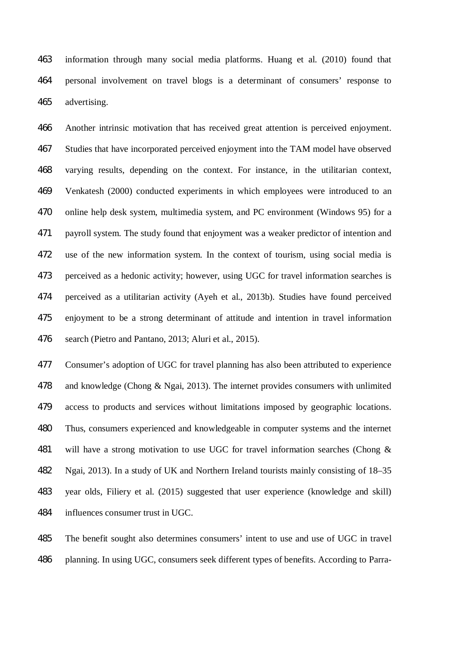information through many social media platforms. Huang et al. (2010) found that personal involvement on travel blogs is a determinant of consumers' response to advertising.

 Another intrinsic motivation that has received great attention is perceived enjoyment. Studies that have incorporated perceived enjoyment into the TAM model have observed varying results, depending on the context. For instance, in the utilitarian context, Venkatesh (2000) conducted experiments in which employees were introduced to an online help desk system, multimedia system, and PC environment (Windows 95) for a payroll system. The study found that enjoyment was a weaker predictor of intention and use of the new information system. In the context of tourism, using social media is perceived as a hedonic activity; however, using UGC for travel information searches is perceived as a utilitarian activity (Ayeh et al., 2013b). Studies have found perceived enjoyment to be a strong determinant of attitude and intention in travel information search (Pietro and Pantano, 2013; Aluri et al., 2015).

 Consumer's adoption of UGC for travel planning has also been attributed to experience and knowledge (Chong & Ngai, 2013). The internet provides consumers with unlimited access to products and services without limitations imposed by geographic locations. Thus, consumers experienced and knowledgeable in computer systems and the internet will have a strong motivation to use UGC for travel information searches (Chong & Ngai, 2013). In a study of UK and Northern Ireland tourists mainly consisting of 18–35 year olds, Filiery et al. (2015) suggested that user experience (knowledge and skill) influences consumer trust in UGC.

 The benefit sought also determines consumers' intent to use and use of UGC in travel planning. In using UGC, consumers seek different types of benefits. According to Parra-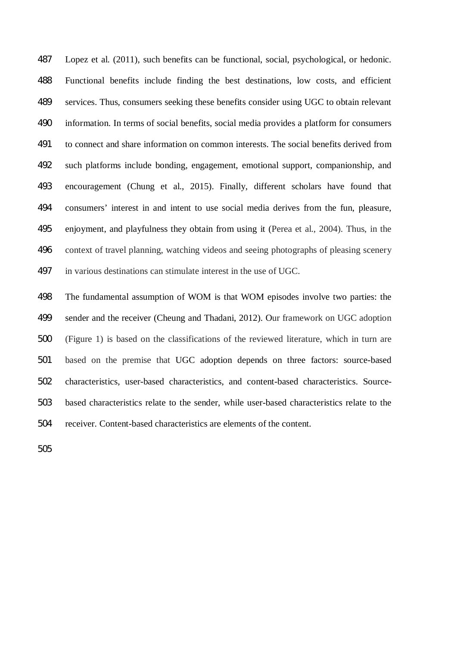Lopez et al. (2011), such benefits can be functional, social, psychological, or hedonic. Functional benefits include finding the best destinations, low costs, and efficient services. Thus, consumers seeking these benefits consider using UGC to obtain relevant information. In terms of social benefits, social media provides a platform for consumers to connect and share information on common interests. The social benefits derived from such platforms include bonding, engagement, emotional support, companionship, and encouragement (Chung et al., 2015). Finally, different scholars have found that consumers' interest in and intent to use social media derives from the fun, pleasure, enjoyment, and playfulness they obtain from using it (Perea et al., 2004). Thus, in the context of travel planning, watching videos and seeing photographs of pleasing scenery in various destinations can stimulate interest in the use of UGC.

 The fundamental assumption of WOM is that WOM episodes involve two parties: the sender and the receiver (Cheung and Thadani, 2012). Our framework on UGC adoption (Figure 1) is based on the classifications of the reviewed literature, which in turn are based on the premise that UGC adoption depends on three factors: source-based characteristics, user-based characteristics, and content-based characteristics. Source- based characteristics relate to the sender, while user-based characteristics relate to the receiver. Content-based characteristics are elements of the content.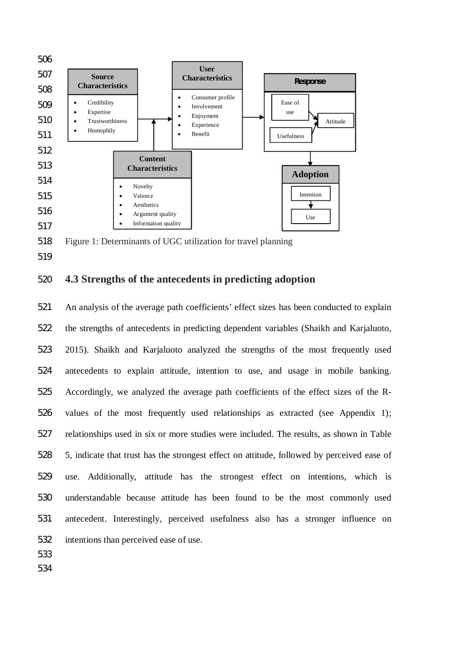

518 Figure 1: Determinants of UGC utilization for travel planning

# 520 **4.3 Strengths of the antecedents in predicting adoption**

 An analysis of the average path coefficients' effect sizes has been conducted to explain the strengths of antecedents in predicting dependent variables (Shaikh and Karjaluoto, 2015). Shaikh and Karjaluoto analyzed the strengths of the most frequently used antecedents to explain attitude, intention to use, and usage in mobile banking. Accordingly, we analyzed the average path coefficients of the effect sizes of the R- values of the most frequently used relationships as extracted (see Appendix 1); relationships used in six or more studies were included. The results, as shown in Table 5, indicate that trust has the strongest effect on attitude, followed by perceived ease of use. Additionally, attitude has the strongest effect on intentions, which is understandable because attitude has been found to be the most commonly used antecedent. Interestingly, perceived usefulness also has a stronger influence on intentions than perceived ease of use.

533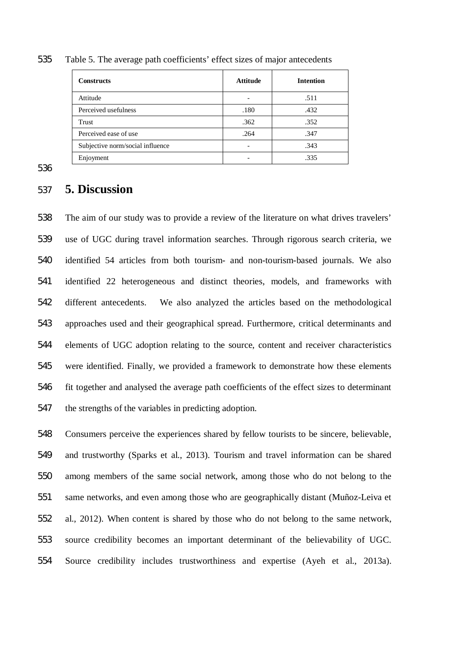| <b>Constructs</b>                | <b>Attitude</b> | <b>Intention</b> |
|----------------------------------|-----------------|------------------|
| Attitude                         |                 | .511             |
| Perceived usefulness             | .180            | .432             |
| Trust                            | .362            | .352             |
| Perceived ease of use            | .264            | .347             |
| Subjective norm/social influence |                 | .343             |
| Enjoyment                        |                 | .335             |

Table 5. The average path coefficients' effect sizes of major antecedents

# **5. Discussion**

 The aim of our study was to provide a review of the literature on what drives travelers' use of UGC during travel information searches. Through rigorous search criteria, we identified 54 articles from both tourism- and non-tourism-based journals. We also identified 22 heterogeneous and distinct theories, models, and frameworks with different antecedents. We also analyzed the articles based on the methodological approaches used and their geographical spread. Furthermore, critical determinants and elements of UGC adoption relating to the source, content and receiver characteristics were identified. Finally, we provided a framework to demonstrate how these elements fit together and analysed the average path coefficients of the effect sizes to determinant the strengths of the variables in predicting adoption.

 Consumers perceive the experiences shared by fellow tourists to be sincere, believable, and trustworthy (Sparks et al., 2013). Tourism and travel information can be shared among members of the same social network, among those who do not belong to the same networks, and even among those who are geographically distant (Muñoz-Leiva et al., 2012). When content is shared by those who do not belong to the same network, source credibility becomes an important determinant of the believability of UGC. Source credibility includes trustworthiness and expertise (Ayeh et al., 2013a).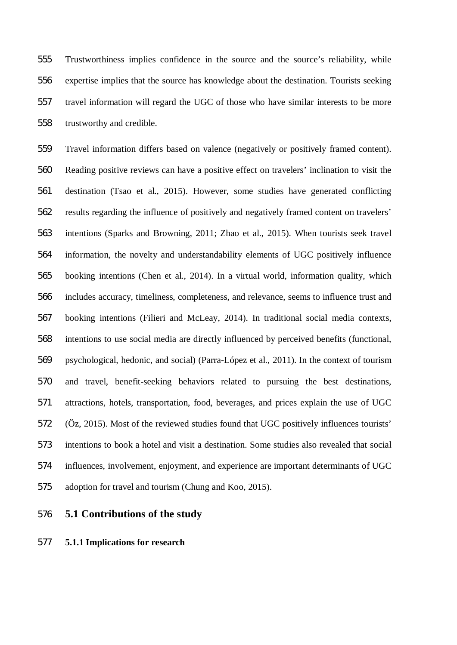Trustworthiness implies confidence in the source and the source's reliability, while expertise implies that the source has knowledge about the destination. Tourists seeking travel information will regard the UGC of those who have similar interests to be more trustworthy and credible.

 Travel information differs based on valence (negatively or positively framed content). Reading positive reviews can have a positive effect on travelers' inclination to visit the destination (Tsao et al., 2015). However, some studies have generated conflicting results regarding the influence of positively and negatively framed content on travelers' intentions (Sparks and Browning, 2011; Zhao et al., 2015). When tourists seek travel information, the novelty and understandability elements of UGC positively influence booking intentions (Chen et al., 2014). In a virtual world, information quality, which includes accuracy, timeliness, completeness, and relevance, seems to influence trust and booking intentions (Filieri and McLeay, 2014). In traditional social media contexts, intentions to use social media are directly influenced by perceived benefits (functional, psychological, hedonic, and social) (Parra-López et al., 2011). In the context of tourism and travel, benefit-seeking behaviors related to pursuing the best destinations, attractions, hotels, transportation, food, beverages, and prices explain the use of UGC (Öz, 2015). Most of the reviewed studies found that UGC positively influences tourists' intentions to book a hotel and visit a destination. Some studies also revealed that social influences, involvement, enjoyment, and experience are important determinants of UGC adoption for travel and tourism (Chung and Koo, 2015).

**5.1 Contributions of the study**

### **5.1.1 Implications for research**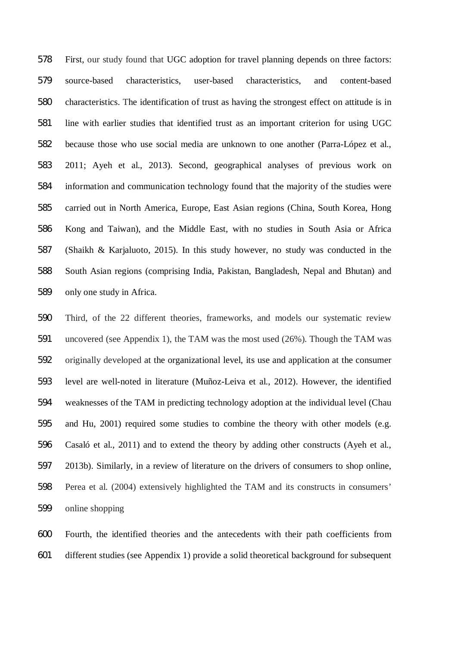First, our study found that UGC adoption for travel planning depends on three factors: source-based characteristics, user-based characteristics, and content-based characteristics. The identification of trust as having the strongest effect on attitude is in line with earlier studies that identified trust as an important criterion for using UGC because those who use social media are unknown to one another (Parra-López et al., 2011; Ayeh et al., 2013). Second, geographical analyses of previous work on information and communication technology found that the majority of the studies were carried out in North America, Europe, East Asian regions (China, South Korea, Hong Kong and Taiwan), and the Middle East, with no studies in South Asia or Africa (Shaikh & Karjaluoto, 2015). In this study however, no study was conducted in the South Asian regions (comprising India, Pakistan, Bangladesh, Nepal and Bhutan) and only one study in Africa.

 Third, of the 22 different theories, frameworks, and models our systematic review uncovered (see Appendix 1), the TAM was the most used (26%). Though the TAM was originally developed at the organizational level, its use and application at the consumer level are well-noted in literature (Muñoz-Leiva et al., 2012). However, the identified weaknesses of the TAM in predicting technology adoption at the individual level (Chau and Hu, 2001) required some studies to combine the theory with other models (e.g. Casaló et al., 2011) and to extend the theory by adding other constructs (Ayeh et al., 2013b). Similarly, in a review of literature on the drivers of consumers to shop online, Perea et al. (2004) extensively highlighted the TAM and its constructs in consumers' online shopping

 Fourth, the identified theories and the antecedents with their path coefficients from different studies (see Appendix 1) provide a solid theoretical background for subsequent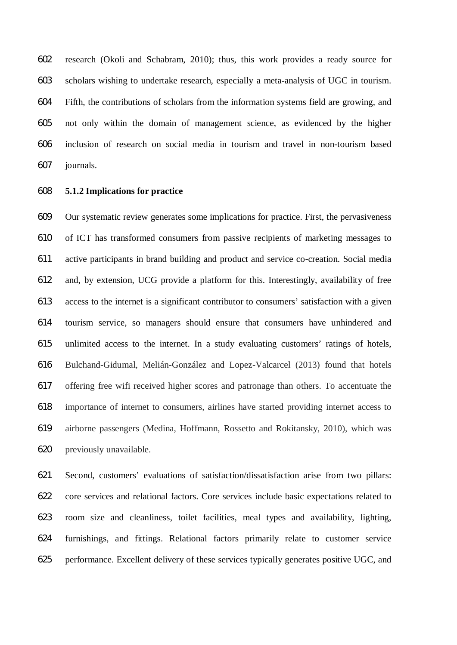research (Okoli and Schabram, 2010); thus, this work provides a ready source for scholars wishing to undertake research, especially a meta-analysis of UGC in tourism. Fifth, the contributions of scholars from the information systems field are growing, and not only within the domain of management science, as evidenced by the higher inclusion of research on social media in tourism and travel in non-tourism based journals.

#### **5.1.2 Implications for practice**

 Our systematic review generates some implications for practice. First, the pervasiveness of ICT has transformed consumers from passive recipients of marketing messages to active participants in brand building and product and service co-creation. Social media and, by extension, UCG provide a platform for this. Interestingly, availability of free access to the internet is a significant contributor to consumers' satisfaction with a given tourism service, so managers should ensure that consumers have unhindered and unlimited access to the internet. In a study evaluating customers' ratings of hotels, Bulchand-Gidumal, Melián-González and Lopez-Valcarcel (2013) found that hotels offering free wifi received higher scores and patronage than others. To accentuate the importance of internet to consumers, airlines have started providing internet access to airborne passengers (Medina, Hoffmann, Rossetto and Rokitansky, 2010), which was previously unavailable.

 Second, customers' evaluations of satisfaction/dissatisfaction arise from two pillars: core services and relational factors. Core services include basic expectations related to room size and cleanliness, toilet facilities, meal types and availability, lighting, furnishings, and fittings. Relational factors primarily relate to customer service performance. Excellent delivery of these services typically generates positive UGC, and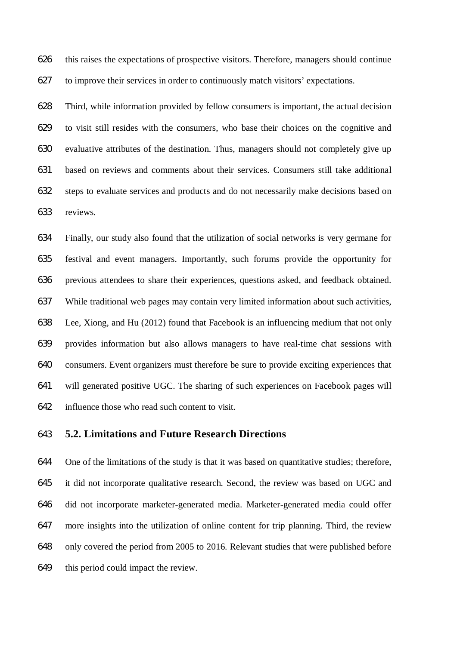this raises the expectations of prospective visitors. Therefore, managers should continue to improve their services in order to continuously match visitors' expectations.

 Third, while information provided by fellow consumers is important, the actual decision to visit still resides with the consumers, who base their choices on the cognitive and evaluative attributes of the destination. Thus, managers should not completely give up based on reviews and comments about their services. Consumers still take additional steps to evaluate services and products and do not necessarily make decisions based on reviews.

 Finally, our study also found that the utilization of social networks is very germane for festival and event managers. Importantly, such forums provide the opportunity for previous attendees to share their experiences, questions asked, and feedback obtained. While traditional web pages may contain very limited information about such activities, Lee, Xiong, and Hu (2012) found that Facebook is an influencing medium that not only provides information but also allows managers to have real-time chat sessions with consumers. Event organizers must therefore be sure to provide exciting experiences that will generated positive UGC. The sharing of such experiences on Facebook pages will influence those who read such content to visit.

# **5.2. Limitations and Future Research Directions**

 One of the limitations of the study is that it was based on quantitative studies; therefore, it did not incorporate qualitative research. Second, the review was based on UGC and did not incorporate marketer-generated media. Marketer-generated media could offer more insights into the utilization of online content for trip planning. Third, the review only covered the period from 2005 to 2016. Relevant studies that were published before this period could impact the review.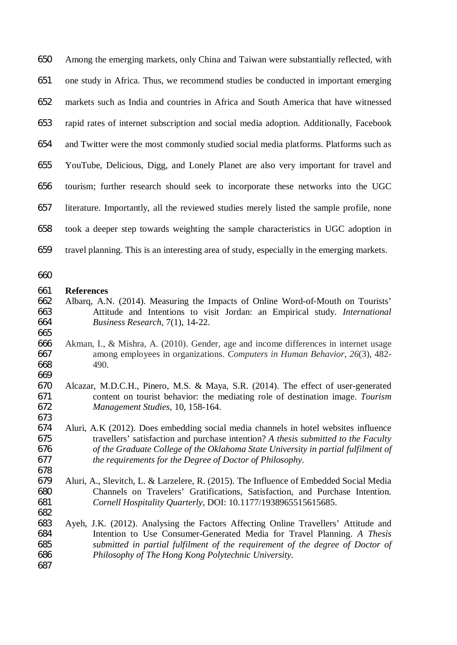Among the emerging markets, only China and Taiwan were substantially reflected, with one study in Africa. Thus, we recommend studies be conducted in important emerging markets such as India and countries in Africa and South America that have witnessed rapid rates of internet subscription and social media adoption. Additionally, Facebook and Twitter were the most commonly studied social media platforms. Platforms such as YouTube, Delicious, Digg, and Lonely Planet are also very important for travel and tourism; further research should seek to incorporate these networks into the UGC literature. Importantly, all the reviewed studies merely listed the sample profile, none took a deeper step towards weighting the sample characteristics in UGC adoption in travel planning. This is an interesting area of study, especially in the emerging markets.

#### **References**

- Albarq, A.N. (2014). Measuring the Impacts of Online Word-of-Mouth on Tourists' Attitude and Intentions to visit Jordan: an Empirical study. *International Business Research,* 7(1), 14-22.
- 665<br>666 Akman, I., & Mishra, A. (2010). Gender, age and income differences in internet usage among employees in organizations. *Computers in Human Behavior*, *26*(3), 482- 490.
- Alcazar, M.D.C.H., Pinero, M.S. & Maya, S.R. (2014). The effect of user-generated content on tourist behavior: the mediating role of destination image. *Tourism Management Studies,* 10, 158-164.
- Aluri, A.K (2012). Does embedding social media channels in hotel websites influence travellers' satisfaction and purchase intention? *A thesis submitted to the Faculty of the Graduate College of the Oklahoma State University in partial fulfilment of the requirements for the Degree of Doctor of Philosophy.*
- Aluri, A., Slevitch, L. & Larzelere, R. (2015). The Influence of Embedded Social Media Channels on Travelers' Gratifications, Satisfaction, and Purchase Intention. *Cornell Hospitality Quarterly,* DOI: 10.1177/1938965515615685.
- Ayeh, J.K. (2012). Analysing the Factors Affecting Online Travellers' Attitude and Intention to Use Consumer-Generated Media for Travel Planning. *A Thesis submitted in partial fulfilment of the requirement of the degree of Doctor of Philosophy of The Hong Kong Polytechnic University.*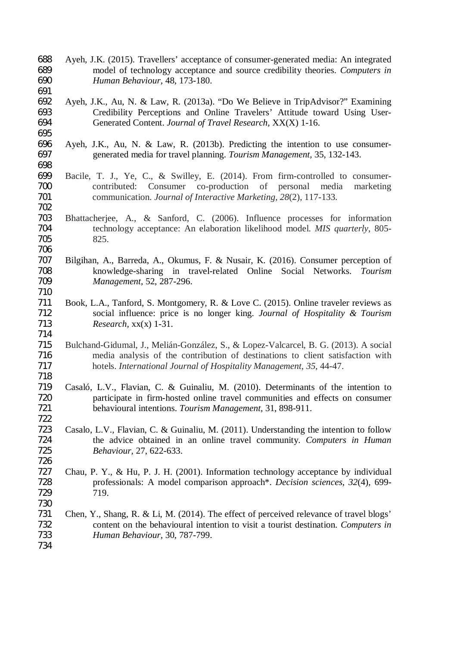- Ayeh, J.K. (2015). Travellers' acceptance of consumer-generated media: An integrated model of technology acceptance and source credibility theories. *Computers in Human Behaviour,* 48, 173-180.
- Ayeh, J.K., Au, N. & Law, R. (2013a). "Do We Believe in TripAdvisor?" Examining 693 Credibility Perceptions and Online Travelers' Attitude toward Using User-<br>694 Generated Content. Journal of Travel Research. XX(X) 1-16. Generated Content. *Journal of Travel Research,* XX(X) 1-16.
- Ayeh, J.K., Au, N. & Law, R. (2013b). Predicting the intention to use consumer-generated media for travel planning. *Tourism Management,* 35, 132-143.
- Bacile, T. J., Ye, C., & Swilley, E. (2014). From firm-controlled to consumer- contributed: Consumer co-production of personal media marketing communication. *Journal of Interactive Marketing*, *28*(2), 117-133.
- Bhattacherjee, A., & Sanford, C. (2006). Influence processes for information technology acceptance: An elaboration likelihood model. *MIS quarterly*, 805- 825.
- Bilgihan, A., Barreda, A., Okumus, F. & Nusair, K. (2016). Consumer perception of knowledge-sharing in travel-related Online Social Networks. *Tourism Management,* 52, 287-296.
- Book, L.A., Tanford, S. Montgomery, R. & Love C. (2015). Online traveler reviews as social influence: price is no longer king. *Journal of Hospitality & Tourism Research,* xx(x) 1-31.
- Bulchand-Gidumal, J., Melián-González, S., & Lopez-Valcarcel, B. G. (2013). A social media analysis of the contribution of destinations to client satisfaction with hotels. *International Journal of Hospitality Management*, *35*, 44-47.
- Casaló, L.V., Flavian, C. & Guinaliu, M. (2010). Determinants of the intention to participate in firm-hosted online travel communities and effects on consumer behavioural intentions. *Tourism Management,* 31, 898-911.
- Casalo, L.V., Flavian, C. & Guinaliu, M. (2011). Understanding the intention to follow the advice obtained in an online travel community. *Computers in Human Behaviour,* 27, 622-633.
- Chau, P. Y., & Hu, P. J. H. (2001). Information technology acceptance by individual professionals: A model comparison approach\*. *Decision sciences*, *32*(4), 699- 719.
- Chen, Y., Shang, R. & Li, M. (2014). The effect of perceived relevance of travel blogs' content on the behavioural intention to visit a tourist destination. *Computers in Human Behaviour,* 30, 787-799.
-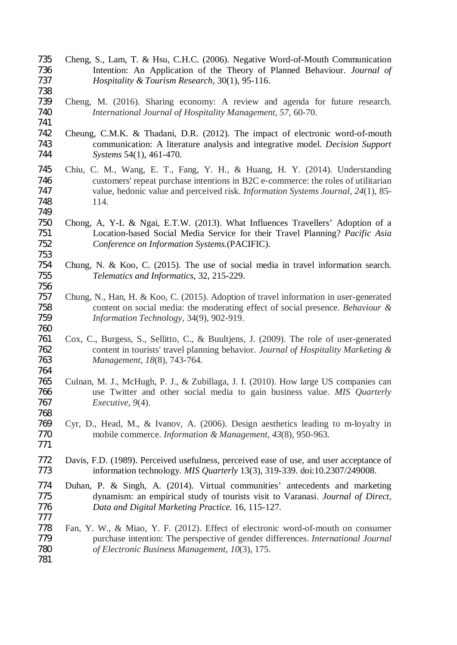- Cheng, S., Lam, T. & Hsu, C.H.C. (2006). Negative Word-of-Mouth Communication Intention: An Application of the Theory of Planned Behaviour. *Journal of Hospitality & Tourism Research,* 30(1), 95-116.
- Cheng, M. (2016). Sharing economy: A review and agenda for future research. *International Journal of Hospitality Management*, *57*, 60-70.
- 

- Cheung, C.M.K. & Thadani, D.R. (2012). The impact of electronic word-of-mouth communication: A literature analysis and integrative model. *Decision Support Systems* 54(1), 461-470.
- Chiu, C. M., Wang, E. T., Fang, Y. H., & Huang, H. Y. (2014). Understanding customers' repeat purchase intentions in B2C e-commerce: the roles of utilitarian value, hedonic value and perceived risk. *Information Systems Journal*, *24*(1), 85- 114.
- Chong, A, Y-L & Ngai, E.T.W. (2013). What Influences Travellers' Adoption of a Location-based Social Media Service for their Travel Planning? *Pacific Asia Conference on Information Systems.*(PACIFIC).
- 754 Chung, N. & Koo, C. (2015). The use of social media in travel information search.<br>755 Telematics and Informatics, 32, 215-229. *Telematics and Informatics,* 32, 215-229.
- Chung, N., Han, H. & Koo, C. (2015). Adoption of travel information in user-generated content on social media: the moderating effect of social presence. *Behaviour & Information Technology,* 34(9), 902-919.
- Cox, C., Burgess, S., Sellitto, C., & Buultjens, J. (2009). The role of user-generated content in tourists' travel planning behavior. *Journal of Hospitality Marketing & Management*, *18*(8), 743-764.
- 764<br>765 Culnan, M. J., McHugh, P. J., & Zubillaga, J. I. (2010). How large US companies can use Twitter and other social media to gain business value. *MIS Quarterly Executive*, *9*(4).
- Cyr, D., Head, M., & Ivanov, A. (2006). Design aesthetics leading to m-loyalty in mobile commerce. *Information & Management*, *43*(8), 950-963.
- Davis, F.D. (1989). Perceived usefulness, perceived ease of use, and user acceptance of information technology. *MIS Quarterly* 13(3), 319-339. doi:10.2307/249008.
- 774 Duhan, P. & Singh, A. (2014). Virtual communities' antecedents and marketing dynamism: an empirical study of tourists visit to Varanasi. *Journal of Direct*. dynamism: an empirical study of tourists visit to Varanasi. *Journal of Direct, Data and Digital Marketing Practice.* 16, 115-127.
- Fan, Y. W., & Miao, Y. F. (2012). Effect of electronic word-of-mouth on consumer purchase intention: The perspective of gender differences. *International Journal of Electronic Business Management*, *10*(3), 175.
-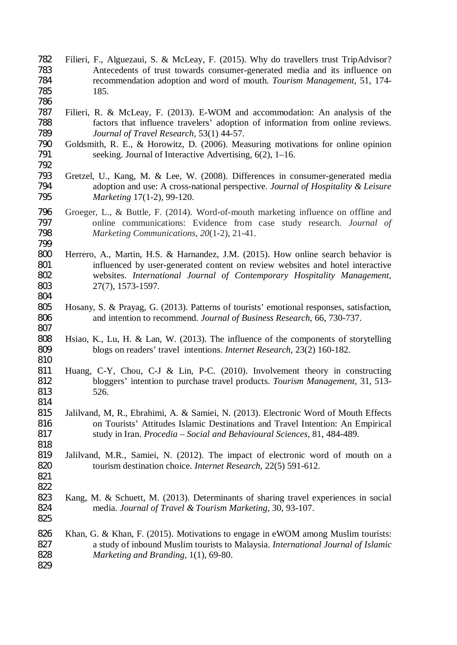- Filieri, F., Alguezaui, S. & McLeay, F. (2015). Why do travellers trust TripAdvisor? 783 Antecedents of trust towards consumer-generated media and its influence on<br>784 commentation adoption and word of mouth. *Tourism Management*, 51, 174- recommendation adoption and word of mouth. *Tourism Management,* 51, 174- 185.
- 787 Filieri, R. & McLeay, F. (2013). E-WOM and accommodation: An analysis of the factors that influence travelers' adoption of information from online reviews. factors that influence travelers' adoption of information from online reviews. *Journal of Travel Research,* 53(1) 44-57.
- Goldsmith, R. E., & Horowitz, D. (2006). Measuring motivations for online opinion 791 seeking. Journal of Interactive Advertising, 6(2), 1–16.
- Gretzel, U., Kang, M. & Lee, W. (2008). Differences in consumer-generated media adoption and use: A cross-national perspective. *Journal of Hospitality & Leisure Marketing* 17(1-2), 99-120.
- 796 Groeger, L., & Buttle, F. (2014). Word-of-mouth marketing influence on offline and online communications: Evidence from case study research. *Journal of*  online communications: Evidence from case study research. *Journal of Marketing Communications*, *20*(1-2), 21-41.
- Herrero, A., Martin, H.S. & Harnandez, J.M. (2015). How online search behavior is influenced by user-generated content on review websites and hotel interactive websites. *International Journal of Contemporary Hospitality Management,* 27(7), 1573-1597.
- Hosany, S. & Prayag, G. (2013). Patterns of tourists' emotional responses, satisfaction, and intention to recommend. *Journal of Business Research,* 66, 730-737.
- Hsiao, K., Lu, H. & Lan, W. (2013). The influence of the components of storytelling blogs on readers' travel intentions. *Internet Research,* 23(2) 160-182.
- Huang, C-Y, Chou, C-J & Lin, P-C. (2010). Involvement theory in constructing bloggers' intention to purchase travel products. *Tourism Management,* 31, 513- 526.
- Jalilvand, M, R., Ebrahimi, A. & Samiei, N. (2013). Electronic Word of Mouth Effects on Tourists' Attitudes Islamic Destinations and Travel Intention: An Empirical study in Iran. *Procedia – Social and Behavioural Sciences,* 81, 484-489.
- 819 Jalilvand, M.R., Samiei, N. (2012). The impact of electronic word of mouth on a tourism destination choice. *Internet Research*. 22(5) 591-612. tourism destination choice. *Internet Research,* 22(5) 591-612.
- 

- Kang, M. & Schuett, M. (2013). Determinants of sharing travel experiences in social media. *Journal of Travel & Tourism Marketing,* 30, 93-107.
- Khan, G. & Khan, F. (2015). Motivations to engage in eWOM among Muslim tourists: a study of inbound Muslim tourists to Malaysia. *International Journal of Islamic Marketing and Branding,* 1(1), 69-80.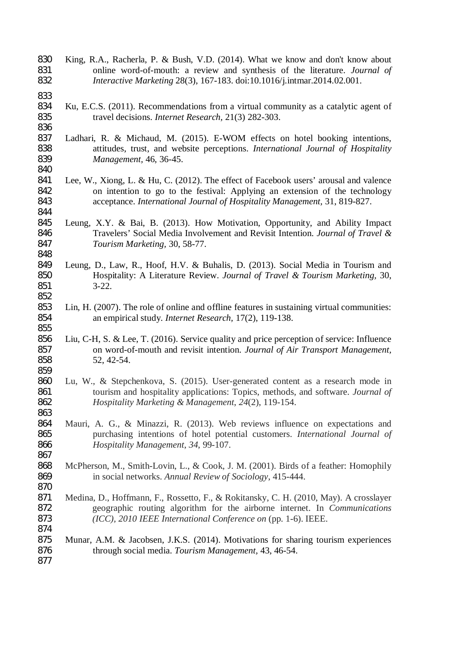- King, R.A., Racherla, P. & Bush, V.D. (2014). What we know and don't know about online word-of-mouth: a review and synthesis of the literature. *Journal of Interactive Marketing* 28(3), 167-183. doi:10.1016/j.intmar.2014.02.001.
- 

- 833<br>834 Ku, E.C.S. (2011). Recommendations from a virtual community as a catalytic agent of travel decisions. *Internet Research,* 21(3) 282-303.
- Ladhari, R. & Michaud, M. (2015). E-WOM effects on hotel booking intentions, attitudes, trust, and website perceptions. *International Journal of Hospitality Management,* 46, 36-45.
- Lee, W., Xiong, L. & Hu, C. (2012). The effect of Facebook users' arousal and valence on intention to go to the festival: Applying an extension of the technology acceptance. *International Journal of Hospitality Management,* 31, 819-827.
- Leung, X.Y. & Bai, B. (2013). How Motivation, Opportunity, and Ability Impact Travelers' Social Media Involvement and Revisit Intention. *Journal of Travel & Tourism Marketing,* 30, 58-77.
- Leung, D., Law, R., Hoof, H.V. & Buhalis, D. (2013). Social Media in Tourism and Hospitality: A Literature Review. *Journal of Travel & Tourism Marketing,* 30, 3-22.
- Lin, H. (2007). The role of online and offline features in sustaining virtual communities: an empirical study. *Internet Research,* 17(2), 119-138.
- Liu, C-H, S. & Lee, T. (2016). Service quality and price perception of service: Influence on word-of-mouth and revisit intention. *Journal of Air Transport Management,* 52, 42-54.
- Lu, W., & Stepchenkova, S. (2015). User-generated content as a research mode in tourism and hospitality applications: Topics, methods, and software. *Journal of Hospitality Marketing & Management*, *24*(2), 119-154.
- Mauri, A. G., & Minazzi, R. (2013). Web reviews influence on expectations and purchasing intentions of hotel potential customers. *International Journal of Hospitality Management*, *34*, 99-107.
- 867<br>868 McPherson, M., Smith-Lovin, L., & Cook, J. M. (2001). Birds of a feather: Homophily in social networks. *Annual Review of Sociology*, 415-444.
- Medina, D., Hoffmann, F., Rossetto, F., & Rokitansky, C. H. (2010, May). A crosslayer geographic routing algorithm for the airborne internet. In *Communications (ICC), 2010 IEEE International Conference on* (pp. 1-6). IEEE.
- Munar, A.M. & Jacobsen, J.K.S. (2014). Motivations for sharing tourism experiences through social media. *Tourism Management,* 43, 46-54.
-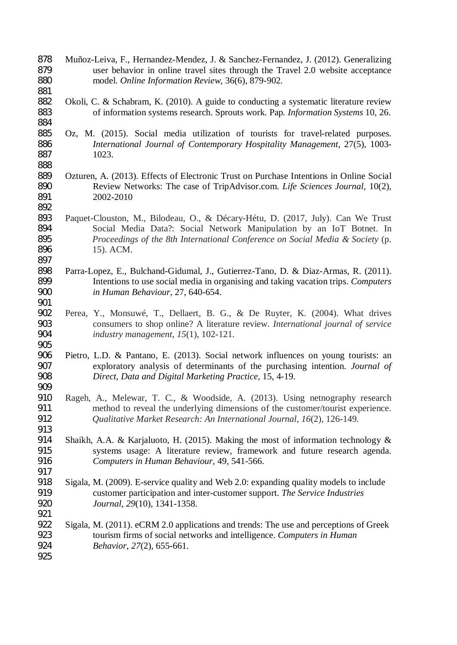Muñoz-Leiva, F., Hernandez-Mendez, J. & Sanchez-Fernandez, J. (2012). Generalizing user behavior in online travel sites through the Travel 2.0 website acceptance model. *Online Information Review,* 36(6), 879-902.

- Okoli, C. & Schabram, K. (2010). A guide to conducting a systematic literature review of information systems research. Sprouts work*.* Pap*. Information Systems* 10, 26.
- Oz, M. (2015). Social media utilization of tourists for travel-related purposes. *International Journal of Contemporary Hospitality Management,* 27(5), 1003- 1023.
- Ozturen, A. (2013). Effects of Electronic Trust on Purchase Intentions in Online Social Review Networks: The case of TripAdvisor.com. *Life Sciences Journal,* 10(2), 2002-2010
- Paquet-Clouston, M., Bilodeau, O., & Décary-Hétu, D. (2017, July). Can We Trust Social Media Data?: Social Network Manipulation by an IoT Botnet. In *Proceedings of the 8th International Conference on Social Media & Society* (p. 896 15). ACM.
- Parra-Lopez, E., Bulchand-Gidumal, J., Gutierrez-Tano, D. & Diaz-Armas, R. (2011). Intentions to use social media in organising and taking vacation trips. *Computers in Human Behaviour,* 27, 640-654.
- Perea, Y., Monsuwé, T., Dellaert, B. G., & De Ruyter, K. (2004). What drives consumers to shop online? A literature review. *International journal of service industry management*, *15*(1), 102-121.
- Pietro, L.D. & Pantano, E. (2013). Social network influences on young tourists: an exploratory analysis of determinants of the purchasing intention. *Journal of Direct, Data and Digital Marketing Practice,* 15, 4-19.
- Rageh, A., Melewar, T. C., & Woodside, A. (2013). Using netnography research method to reveal the underlying dimensions of the customer/tourist experience. *Qualitative Market Research: An International Journal*, *16*(2), 126-149.
- Shaikh, A.A. & Karjaluoto, H. (2015). Making the most of information technology & 915 systems usage: A literature review, framework and future research agenda.<br>916 *Computers in Human Behaviour*, 49, 541-566. *Computers in Human Behaviour,* 49, 541-566.
- Sigala, M. (2009). E-service quality and Web 2.0: expanding quality models to include customer participation and inter-customer support. *The Service Industries Journal*, *29*(10), 1341-1358.
- Sigala, M. (2011). eCRM 2.0 applications and trends: The use and perceptions of Greek tourism firms of social networks and intelligence. *Computers in Human Behavior*, *27*(2), 655-661.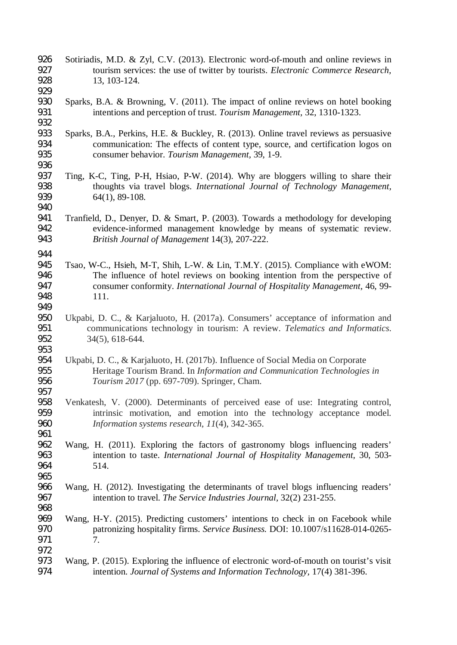- Sotiriadis, M.D. & Zyl, C.V. (2013). Electronic word-of-mouth and online reviews in tourism services: the use of twitter by tourists. *Electronic Commerce Research,* 13, 103-124.
- Sparks, B.A. & Browning, V. (2011). The impact of online reviews on hotel booking intentions and perception of trust. *Tourism Management,* 32, 1310-1323.
- 932<br>933 Sparks, B.A., Perkins, H.E. & Buckley, R. (2013). Online travel reviews as persuasive communication: The effects of content type, source, and certification logos on consumer behavior. *Tourism Management,* 39, 1-9.
- Ting, K-C, Ting, P-H, Hsiao, P-W. (2014). Why are bloggers willing to share their thoughts via travel blogs. *International Journal of Technology Management,* 64(1), 89-108.

- Tranfield, D., Denyer, D. & Smart, P. (2003). Towards a methodology for developing evidence-informed management knowledge by means of systematic review. *British Journal of Management* 14(3), 207-222.
- Tsao, W-C., Hsieh, M-T, Shih, L-W. & Lin, T.M.Y. (2015). Compliance with eWOM: The influence of hotel reviews on booking intention from the perspective of consumer conformity. *International Journal of Hospitality Management,* 46, 99- 111.
- Ukpabi, D. C., & Karjaluoto, H. (2017a). Consumers' acceptance of information and communications technology in tourism: A review. *Telematics and Informatics*. 34(5), 618-644.
- 953<br>954 Ukpabi, D. C., & Karjaluoto, H. (2017b). Influence of Social Media on Corporate Heritage Tourism Brand. In *Information and Communication Technologies in Tourism 2017* (pp. 697-709). Springer, Cham.
- Venkatesh, V. (2000). Determinants of perceived ease of use: Integrating control, intrinsic motivation, and emotion into the technology acceptance model. *Information systems research*, *11*(4), 342-365.
- Wang, H. (2011). Exploring the factors of gastronomy blogs influencing readers' intention to taste. *International Journal of Hospitality Management,* 30, 503- 514.
- Wang, H. (2012). Investigating the determinants of travel blogs influencing readers' intention to travel. *The Service Industries Journal,* 32(2) 231-255.
- Wang, H-Y. (2015). Predicting customers' intentions to check in on Facebook while patronizing hospitality firms. *Service Business.* DOI: 10.1007/s11628-014-0265- 7.
- 973 Wang, P. (2015). Exploring the influence of electronic word-of-mouth on tourist's visit<br>974 intention. Journal of Systems and Information Technology. 17(4) 381-396. intention. *Journal of Systems and Information Technology,* 17(4) 381-396.